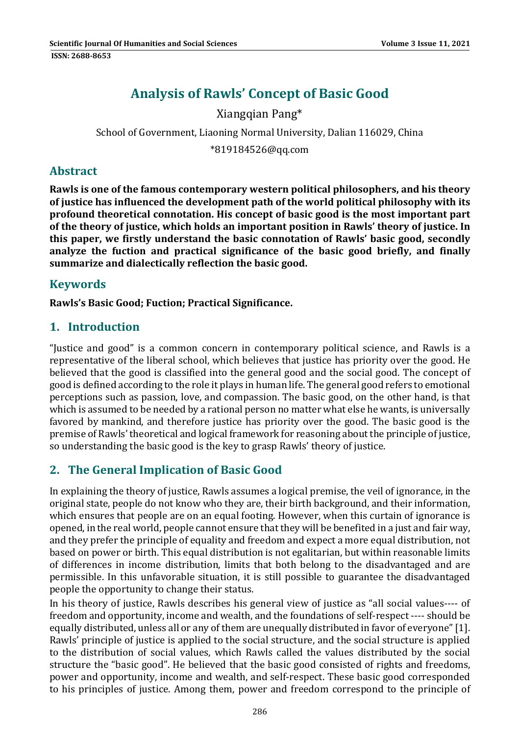# **Analysis of Rawls' Concept of Basic Good**

#### Xiangqian Pang\*

## School of Government, Liaoning Normal University, Dalian 116029, China

\*819184526@qq.com 

#### **Abstract**

**Rawls is one of the famous contemporary western political philosophers, and his theory of justice has influenced the development path of the world political philosophy with its profound theoretical connotation. His concept of basic good is the most important part of the theory of justice, which holds an important position in Rawls' theory of justice. In this paper, we firstly understand the basic connotation of Rawls' basic good, secondly analyze the fuction and practical significance of the basic good briefly, and finally summarize and dialectically reflection the basic good.**

### **Keywords**

**Rawls's Basic Good; Fuction; Practical Significance.**

#### **1. Introduction**

"Justice and good" is a common concern in contemporary political science, and Rawls is a representative of the liberal school, which believes that justice has priority over the good. He believed that the good is classified into the general good and the social good. The concept of good is defined according to the role it plays in human life. The general good refers to emotional perceptions such as passion, love, and compassion. The basic good, on the other hand, is that which is assumed to be needed by a rational person no matter what else he wants, is universally favored by mankind, and therefore justice has priority over the good. The basic good is the premise of Rawls' theoretical and logical framework for reasoning about the principle of justice, so understanding the basic good is the key to grasp Rawls' theory of justice.

#### **2. The General Implication of Basic Good**

In explaining the theory of justice, Rawls assumes a logical premise, the veil of ignorance, in the original state, people do not know who they are, their birth background, and their information, which ensures that people are on an equal footing. However, when this curtain of ignorance is opened, in the real world, people cannot ensure that they will be benefited in a just and fair way, and they prefer the principle of equality and freedom and expect a more equal distribution, not based on power or birth. This equal distribution is not egalitarian, but within reasonable limits of differences in income distribution, limits that both belong to the disadvantaged and are permissible. In this unfavorable situation, it is still possible to guarantee the disadvantaged people the opportunity to change their status.

In his theory of justice, Rawls describes his general view of justice as "all social values---- of freedom and opportunity, income and wealth, and the foundations of self-respect ---- should be equally distributed, unless all or any of them are unequally distributed in favor of everyone" [1]. Rawls' principle of justice is applied to the social structure, and the social structure is applied to the distribution of social values, which Rawls called the values distributed by the social structure the "basic good". He believed that the basic good consisted of rights and freedoms, power and opportunity, income and wealth, and self-respect. These basic good corresponded to his principles of justice. Among them, power and freedom correspond to the principle of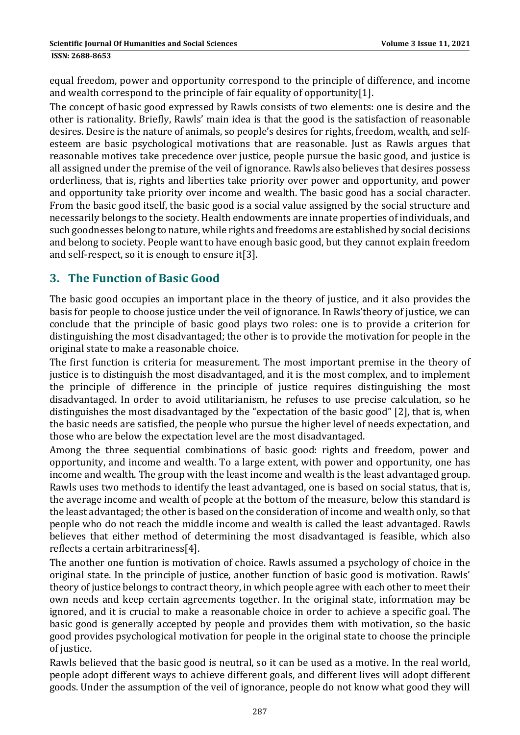**ISSN: 2688-8653** 

equal freedom, power and opportunity correspond to the principle of difference, and income and wealth correspond to the principle of fair equality of opportunity[1].

The concept of basic good expressed by Rawls consists of two elements: one is desire and the other is rationality. Briefly, Rawls' main idea is that the good is the satisfaction of reasonable desires. Desire is the nature of animals, so people's desires for rights, freedom, wealth, and selfesteem are basic psychological motivations that are reasonable. Just as Rawls argues that reasonable motives take precedence over justice, people pursue the basic good, and justice is all assigned under the premise of the veil of ignorance. Rawls also believes that desires possess orderliness, that is, rights and liberties take priority over power and opportunity, and power and opportunity take priority over income and wealth. The basic good has a social character. From the basic good itself, the basic good is a social value assigned by the social structure and necessarily belongs to the society. Health endowments are innate properties of individuals, and such goodnesses belong to nature, while rights and freedoms are established by social decisions and belong to society. People want to have enough basic good, but they cannot explain freedom and self-respect, so it is enough to ensure it[3].

#### **3. The Function of Basic Good**

The basic good occupies an important place in the theory of justice, and it also provides the basis for people to choose justice under the veil of ignorance. In Rawls'theory of justice, we can conclude that the principle of basic good plays two roles: one is to provide a criterion for distinguishing the most disadvantaged; the other is to provide the motivation for people in the original state to make a reasonable choice.

The first function is criteria for measurement. The most important premise in the theory of justice is to distinguish the most disadvantaged, and it is the most complex, and to implement the principle of difference in the principle of justice requires distinguishing the most disadvantaged. In order to avoid utilitarianism, he refuses to use precise calculation, so he distinguishes the most disadvantaged by the "expectation of the basic good" [2], that is, when the basic needs are satisfied, the people who pursue the higher level of needs expectation, and those who are below the expectation level are the most disadvantaged.

Among the three sequential combinations of basic good: rights and freedom, power and opportunity, and income and wealth. To a large extent, with power and opportunity, one has income and wealth. The group with the least income and wealth is the least advantaged group. Rawls uses two methods to identify the least advantaged, one is based on social status, that is, the average income and wealth of people at the bottom of the measure, below this standard is the least advantaged; the other is based on the consideration of income and wealth only, so that people who do not reach the middle income and wealth is called the least advantaged. Rawls believes that either method of determining the most disadvantaged is feasible, which also reflects a certain arbitrariness[4].

The another one funtion is motivation of choice. Rawls assumed a psychology of choice in the original state. In the principle of justice, another function of basic good is motivation. Rawls' theory of justice belongs to contract theory, in which people agree with each other to meet their own needs and keep certain agreements together. In the original state, information may be ignored, and it is crucial to make a reasonable choice in order to achieve a specific goal. The basic good is generally accepted by people and provides them with motivation, so the basic good provides psychological motivation for people in the original state to choose the principle of justice.

Rawls believed that the basic good is neutral, so it can be used as a motive. In the real world, people adopt different ways to achieve different goals, and different lives will adopt different goods. Under the assumption of the veil of ignorance, people do not know what good they will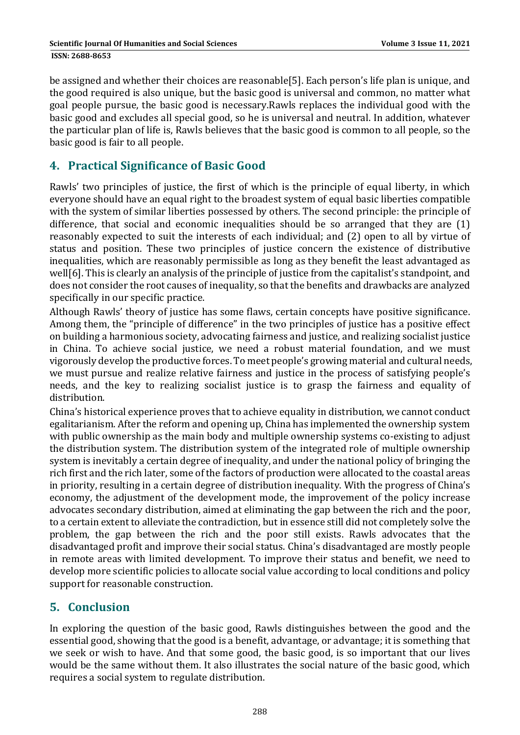be assigned and whether their choices are reasonable[5]. Each person's life plan is unique, and the good required is also unique, but the basic good is universal and common, no matter what goal people pursue, the basic good is necessary.Rawls replaces the individual good with the basic good and excludes all special good, so he is universal and neutral. In addition, whatever the particular plan of life is, Rawls believes that the basic good is common to all people, so the basic good is fair to all people.

#### **4. Practical Significance of Basic Good**

Rawls' two principles of justice, the first of which is the principle of equal liberty, in which everyone should have an equal right to the broadest system of equal basic liberties compatible with the system of similar liberties possessed by others. The second principle: the principle of difference, that social and economic inequalities should be so arranged that they are  $(1)$ reasonably expected to suit the interests of each individual; and (2) open to all by virtue of status and position. These two principles of justice concern the existence of distributive inequalities, which are reasonably permissible as long as they benefit the least advantaged as well[6]. This is clearly an analysis of the principle of justice from the capitalist's standpoint, and does not consider the root causes of inequality, so that the benefits and drawbacks are analyzed specifically in our specific practice.

Although Rawls' theory of justice has some flaws, certain concepts have positive significance. Among them, the "principle of difference" in the two principles of justice has a positive effect on building a harmonious society, advocating fairness and justice, and realizing socialist justice in China. To achieve social justice, we need a robust material foundation, and we must vigorously develop the productive forces. To meet people's growing material and cultural needs, we must pursue and realize relative fairness and justice in the process of satisfying people's needs, and the key to realizing socialist justice is to grasp the fairness and equality of distribution. 

China's historical experience proves that to achieve equality in distribution, we cannot conduct egalitarianism. After the reform and opening up, China has implemented the ownership system with public ownership as the main body and multiple ownership systems co-existing to adjust the distribution system. The distribution system of the integrated role of multiple ownership system is inevitably a certain degree of inequality, and under the national policy of bringing the rich first and the rich later, some of the factors of production were allocated to the coastal areas in priority, resulting in a certain degree of distribution inequality. With the progress of China's economy, the adjustment of the development mode, the improvement of the policy increase advocates secondary distribution, aimed at eliminating the gap between the rich and the poor, to a certain extent to alleviate the contradiction, but in essence still did not completely solve the problem, the gap between the rich and the poor still exists. Rawls advocates that the disadvantaged profit and improve their social status. China's disadvantaged are mostly people in remote areas with limited development. To improve their status and benefit, we need to develop more scientific policies to allocate social value according to local conditions and policy support for reasonable construction.

#### **5. Conclusion**

In exploring the question of the basic good, Rawls distinguishes between the good and the essential good, showing that the good is a benefit, advantage, or advantage; it is something that we seek or wish to have. And that some good, the basic good, is so important that our lives would be the same without them. It also illustrates the social nature of the basic good, which requires a social system to regulate distribution.